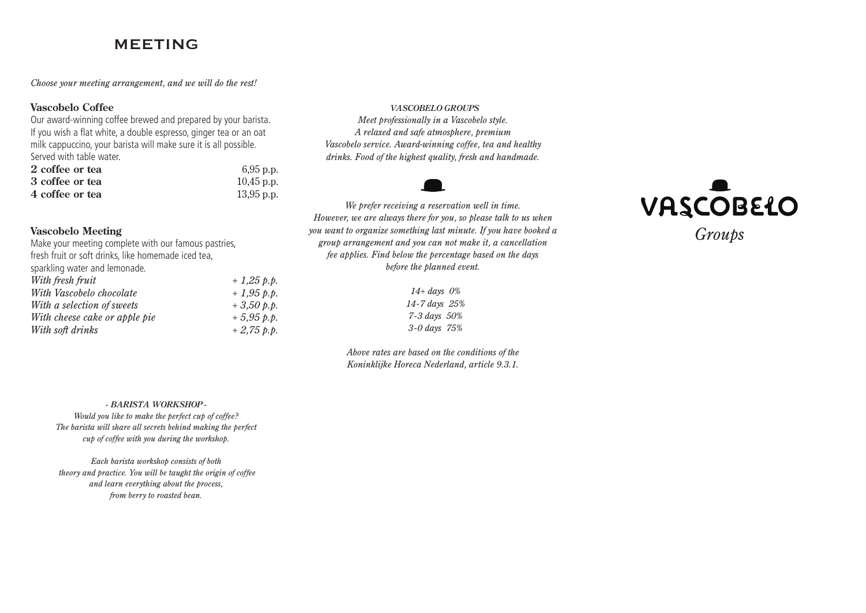### MEETING

*Choose your meeting arrangement, and we will do the rest!* 

#### **Vascobelo Coffee**

Our award-winning coffee brewed and prepared by your barista. If you wish a flat white, a double espresso, ginger tea or an oat milk cappuccino, your barista will make sure it is all possible. Served with table water.

| 2 coffee or tea | 6,95 p.p.    |
|-----------------|--------------|
| 3 coffee or tea | $10,45$ p.p. |
| 4 coffee or tea | $13,95$ p.p. |

#### **Vascobelo Meeting**

Make your meeting complete with our famous pastries, fresh fruit or soft drinks, like homemade iced tea, sparkling water and lemonade. *With fresh fruit + 1,25 p.p. With Vascobelo chocolate + 1,95 p.p. With a selection of sweets + 3,50 p.p. With cheese cake or apple pie + 5,95 p.p. With soft drinks + 2,75 p.p.*  *VASCOBELO GROUPS* 

*Meet professionally in a Vascobelo style. A relaxed and safe atmosphere, premium Vascobelo service. Award-winning coffee, tea and healthy drinks. Food of the highest quality, fresh and handmade.*



*We prefer receiving a reservation well in time. However, we are always there for you, so please talk to us when you want to organize something last minute. If you have booked a group arrangement and you can not make it, a cancellation fee applies. Find below the percentage based on the days before the planned event.* 

> *14+ days 0% 14-7 days 25% 7-3 days 50% 3-0 days 75%*

*Above rates are based on the conditions of the Koninklijke Horeca Nederland, article 9.3.1.*



*- BARISTA WORKSHOP -*

*Would you like to make the perfect cup of coffee? The barista will share all secrets behind making the perfect cup of coffee with you during the workshop.* 

*Each barista workshop consists of both theory and practice. You will be taught the origin of coffee and learn everything about the process, from berry to roasted bean.*